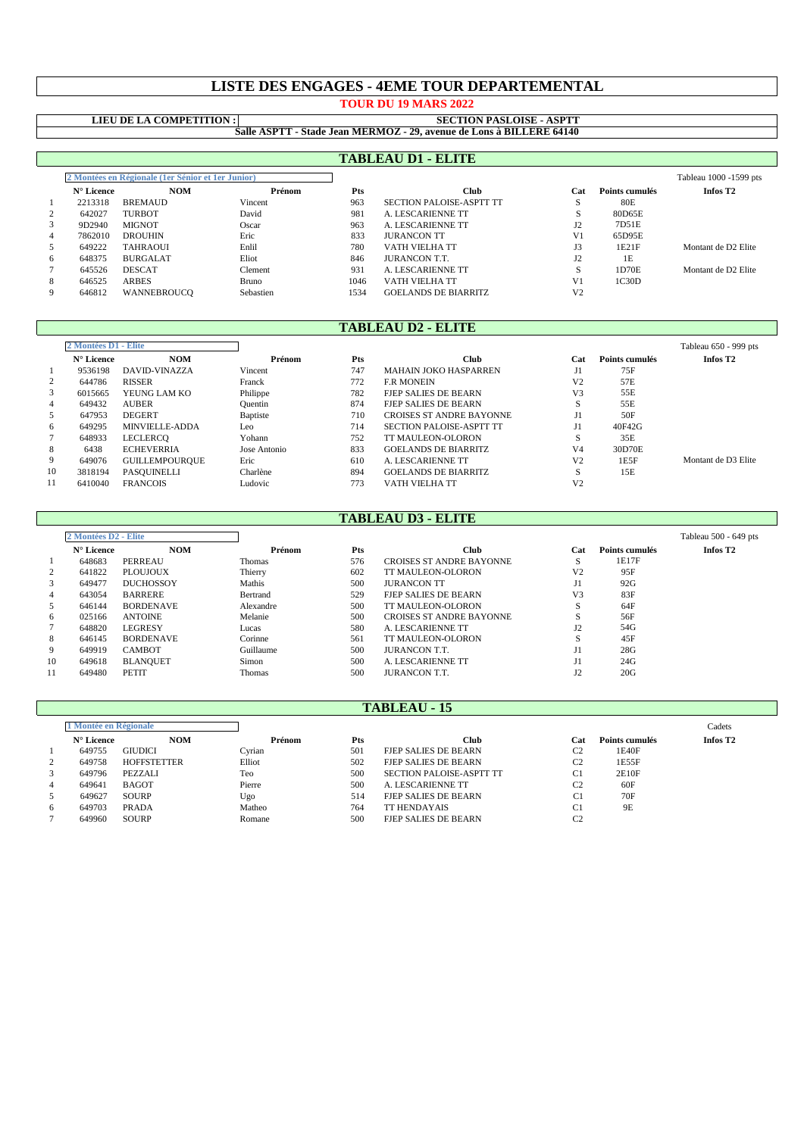# **LISTE DES ENGAGES - 4EME TOUR DEPARTEMENTAL**

**TOUR DU 19 MARS 2022**

# **LIEU DE LA COMPETITION :**

#### **Salle ASPTT - Stade Jean MERMOZ - 29, avenue de Lons à BILLERE 64140 SECTION PASLOISE - ASPTT**

|   |                                                     |                 |           |      | <b>TABLEAU D1 - ELITE</b>       |                |                |                        |
|---|-----------------------------------------------------|-----------------|-----------|------|---------------------------------|----------------|----------------|------------------------|
|   | 2 Montées en Régionale (1 er Sénior et 1 er Junior) |                 |           |      |                                 |                |                | Tableau 1000 -1599 pts |
|   | N° Licence                                          | <b>NOM</b>      | Prénom    | Pts  | Club                            | Cat            | Points cumulés | Infos T <sub>2</sub>   |
|   | 2213318                                             | <b>BREMAUD</b>  | Vincent   | 963  | <b>SECTION PALOISE-ASPTT TT</b> | э              | 80E            |                        |
|   | 642027                                              | <b>TURBOT</b>   | David     | 981  | <b>A. LESCARIENNE TT</b>        | S              | 80D65E         |                        |
|   | 9D2940                                              | <b>MIGNOT</b>   | Oscar     | 963  | A. LESCARIENNE TT               | 12             | 7D51E          |                        |
| 4 | 7862010                                             | <b>DROUHIN</b>  | Eric      | 833  | <b>JURANCON TT</b>              | V <sub>1</sub> | 65D95E         |                        |
|   | 649222                                              | <b>TAHRAOUI</b> | Enlil     | 780  | VATH VIELHA TT                  | J3             | 1E21F          | Montant de D2 Elite    |
| 6 | 648375                                              | <b>BURGALAT</b> | Eliot     | 846  | <b>JURANCON T.T.</b>            | $_{12}$        | 1E             |                        |
|   | 645526                                              | <b>DESCAT</b>   | Clement   | 931  | A. LESCARIENNE TT               | S              | 1D70E          | Montant de D2 Elite    |
| 8 | 646525                                              | <b>ARBES</b>    | Bruno     | 1046 | VATH VIELHA TT                  | V <sub>1</sub> | 1C30D          |                        |
| 9 | 646812                                              | WANNEBROUCO     | Sebastien | 1534 | <b>GOELANDS DE BIARRITZ</b>     | V <sub>2</sub> |                |                        |
|   |                                                     |                 |           |      |                                 |                |                |                        |

# **TABLEAU D2 - ELITE**

| 2 Montées D1 - Elite |            |                       |              |     |                                 |                |                | Tableau 650 - 999 pts |
|----------------------|------------|-----------------------|--------------|-----|---------------------------------|----------------|----------------|-----------------------|
|                      | N° Licence | <b>NOM</b>            | Prénom       | Pts | Club                            | Cat            | Points cumulés | Infos T <sub>2</sub>  |
|                      | 9536198    | DAVID-VINAZZA         | Vincent      | 747 | <b>MAHAIN JOKO HASPARREN</b>    |                | 75F            |                       |
| 2                    | 644786     | <b>RISSER</b>         | Franck       | 772 | <b>F.R MONEIN</b>               | V <sub>2</sub> | 57E            |                       |
| 3                    | 6015665    | YEUNG LAM KO          | Philippe     | 782 | <b>FJEP SALIES DE BEARN</b>     | V <sub>3</sub> | 55E            |                       |
| 4                    | 649432     | <b>AUBER</b>          | Quentin      | 874 | <b>FJEP SALIES DE BEARN</b>     | s              | 55E            |                       |
| 5                    | 647953     | <b>DEGERT</b>         | Baptiste     | 710 | <b>CROISES ST ANDRE BAYONNE</b> |                | 50F            |                       |
| 6                    | 649295     | MINVIELLE-ADDA        | Leo          | 714 | SECTION PALOISE-ASPTT TT        |                | 40F42G         |                       |
|                      | 648933     | LECLERCO              | Yohann       | 752 | TT MAULEON-OLORON               | S              | 35E            |                       |
| 8                    | 6438       | <b>ECHEVERRIA</b>     | Jose Antonio | 833 | <b>GOELANDS DE BIARRITZ</b>     | V <sub>4</sub> | 30D70E         |                       |
| 9                    | 649076     | <b>GUILLEMPOURQUE</b> | Eric         | 610 | A. LESCARIENNE TT               | V <sub>2</sub> | 1E5F           | Montant de D3 Elite   |
| 10                   | 3818194    | PASQUINELLI           | Charlène     | 894 | <b>GOELANDS DE BIARRITZ</b>     | s              | 15E            |                       |
| 11                   | 6410040    | <b>FRANCOIS</b>       | Ludovic      | 773 | VATH VIELHA TT                  | V <sub>2</sub> |                |                       |

### **TABLEAU D3 - ELITE**

|                | 2 Montées D2 - Elite |                  |           |     |                                 |                |                | Tableau 500 - 649 pts |
|----------------|----------------------|------------------|-----------|-----|---------------------------------|----------------|----------------|-----------------------|
|                | $N^{\circ}$ Licence  | <b>NOM</b>       | Prénom    | Pts | Club                            | Cat            | Points cumulés | Infos T <sub>2</sub>  |
|                | 648683               | PERREAU          | Thomas    | 576 | <b>CROISES ST ANDRE BAYONNE</b> | S              | 1E17F          |                       |
| 2              | 641822               | <b>PLOUJOUX</b>  | Thierry   | 602 | TT MAULEON-OLORON               | V <sub>2</sub> | 95F            |                       |
| 3              | 649477               | <b>DUCHOSSOY</b> | Mathis    | 500 | <b>JURANCON TT</b>              | J1             | 92G            |                       |
| $\overline{4}$ | 643054               | <b>BARRERE</b>   | Bertrand  | 529 | <b>FIEP SALIES DE BEARN</b>     | V3             | 83F            |                       |
| 5              | 646144               | <b>BORDENAVE</b> | Alexandre | 500 | TT MAULEON-OLORON               | S              | 64F            |                       |
| 6              | 025166               | <b>ANTOINE</b>   | Melanie   | 500 | <b>CROISES ST ANDRE BAYONNE</b> |                | 56F            |                       |
|                | 648820               | <b>LEGRESY</b>   | Lucas     | 580 | A. LESCARIENNE TT               | $_{12}$        | 54G            |                       |
| 8              | 646145               | <b>BORDENAVE</b> | Corinne   | 561 | <b>TT MAULEON-OLORON</b>        | $\mathcal{L}$  | 45F            |                       |
| 9              | 649919               | <b>CAMBOT</b>    | Guillaume | 500 | <b>IURANCON T.T.</b>            | JI.            | 28G            |                       |
| 10             | 649618               | <b>BLANQUET</b>  | Simon     | 500 | A. LESCARIENNE TT               |                | 24G            |                       |
| 11             | 649480               | <b>PETIT</b>     | Thomas    | 500 | <b>IURANCON T.T.</b>            |                | 20G            |                       |

### **TABLEAU - 15**

|                | Montée en Régionale |                    |        |     |                             |                |                | Cadets               |  |
|----------------|---------------------|--------------------|--------|-----|-----------------------------|----------------|----------------|----------------------|--|
|                | $N^{\circ}$ Licence | <b>NOM</b>         | Prénom | Pts | Club                        | Cat            | Points cumulés | Infos T <sub>2</sub> |  |
|                | 649755              | <b>GIUDICI</b>     | Cvrian | 501 | <b>FJEP SALIES DE BEARN</b> | C2             | 1E40F          |                      |  |
| 2              | 649758              | <b>HOFFSTETTER</b> | Elliot | 502 | FJEP SALIES DE BEARN        | C2             | 1E55F          |                      |  |
| 3              | 649796              | PEZZALI            | Teo    | 500 | SECTION PALOISE-ASPTT TT    | C <sub>1</sub> | 2E10F          |                      |  |
| $\overline{4}$ | 649641              | <b>BAGOT</b>       | Pierre | 500 | A. LESCARIENNE TT           | $\sim$         | 60F            |                      |  |
| 5              | 649627              | <b>SOURP</b>       | Ugo    | 514 | <b>FIEP SALIES DE BEARN</b> | C1             | 70F            |                      |  |
| 6              | 649703              | <b>PRADA</b>       | Matheo | 764 | <b>TT HENDAYAIS</b>         | C1             | 9E             |                      |  |
|                | 649960              | <b>SOURP</b>       | Romane | 500 | <b>FIEP SALIES DE BEARN</b> |                |                |                      |  |